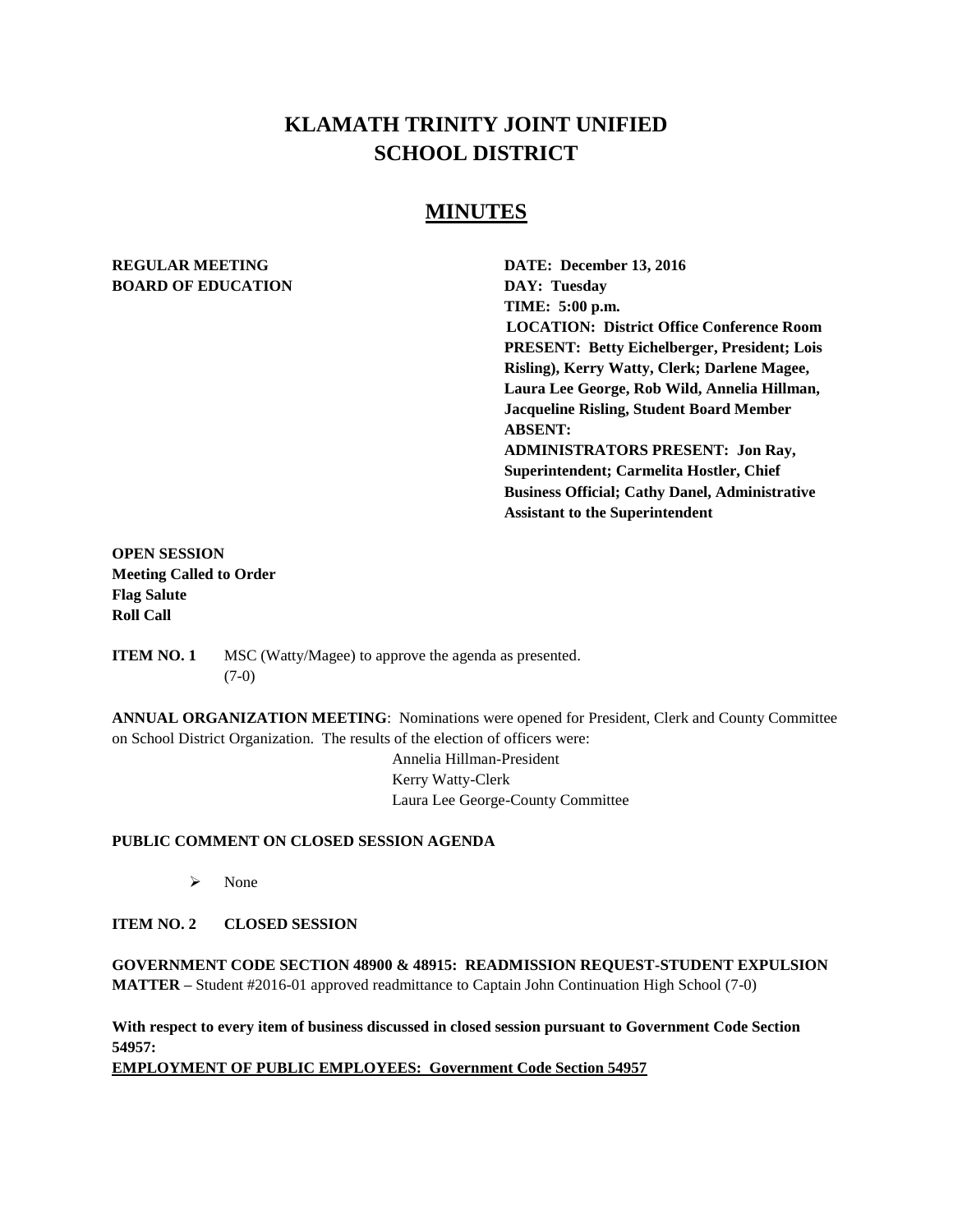# **KLAMATH TRINITY JOINT UNIFIED SCHOOL DISTRICT**

# **MINUTES**

# **BOARD OF EDUCATION DAY: Tuesday**

**REGULAR MEETING DATE: December 13, 2016 TIME: 5:00 p.m. LOCATION: District Office Conference Room PRESENT: Betty Eichelberger, President; Lois Risling), Kerry Watty, Clerk; Darlene Magee, Laura Lee George, Rob Wild, Annelia Hillman, Jacqueline Risling, Student Board Member ABSENT: ADMINISTRATORS PRESENT: Jon Ray, Superintendent; Carmelita Hostler, Chief Business Official; Cathy Danel, Administrative Assistant to the Superintendent** 

**OPEN SESSION Meeting Called to Order Flag Salute Roll Call**

**ITEM NO. 1** MSC (Watty/Magee) to approve the agenda as presented. (7-0)

**ANNUAL ORGANIZATION MEETING**: Nominations were opened for President, Clerk and County Committee on School District Organization. The results of the election of officers were:

> Annelia Hillman-President Kerry Watty-Clerk Laura Lee George-County Committee

# **PUBLIC COMMENT ON CLOSED SESSION AGENDA**

 $\triangleright$  None

# **ITEM NO. 2 CLOSED SESSION**

**GOVERNMENT CODE SECTION 48900 & 48915: READMISSION REQUEST-STUDENT EXPULSION MATTER –** Student #2016-01 approved readmittance to Captain John Continuation High School (7-0)

**With respect to every item of business discussed in closed session pursuant to Government Code Section 54957:**

**EMPLOYMENT OF PUBLIC EMPLOYEES: Government Code Section 54957**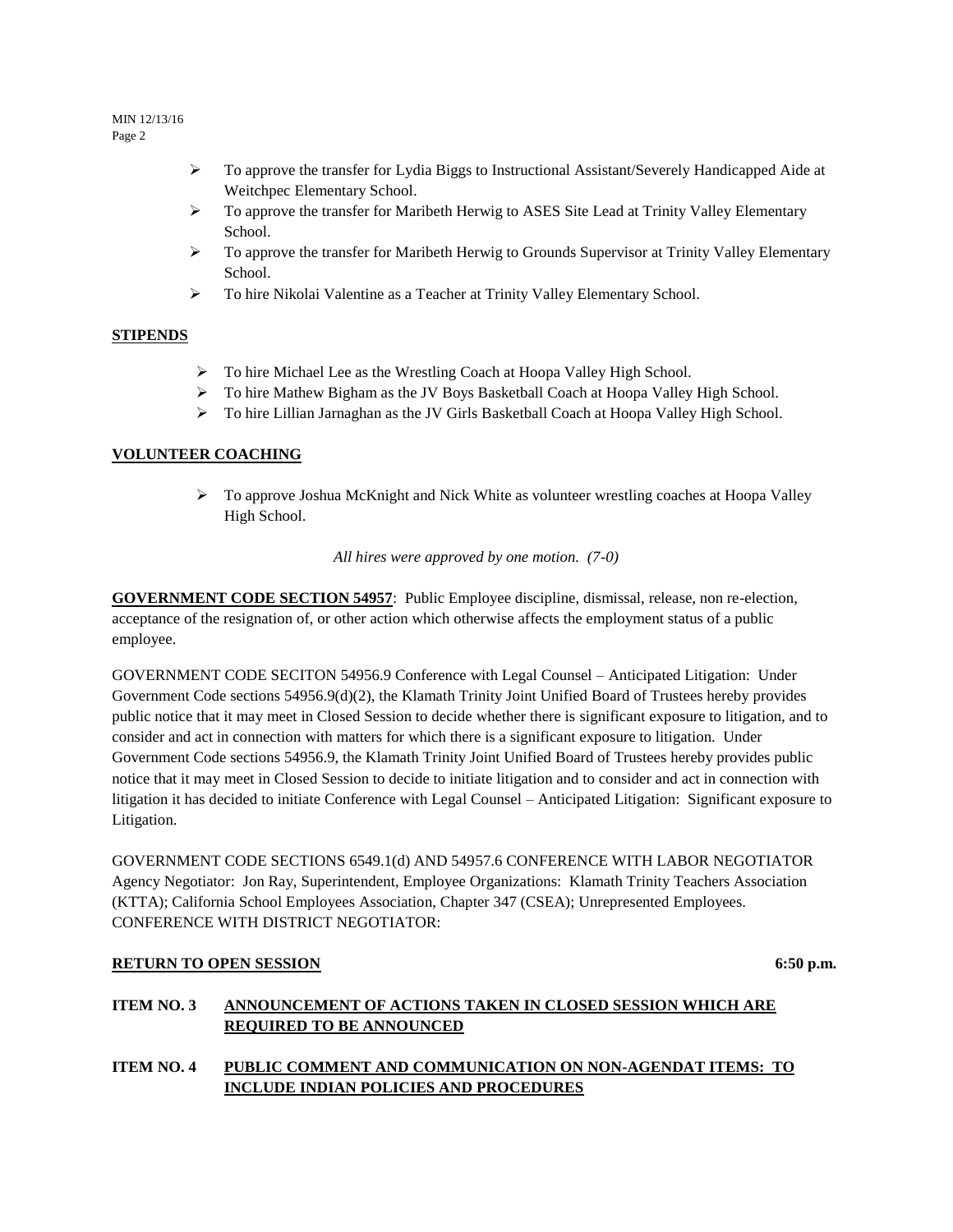- $\triangleright$  To approve the transfer for Lydia Biggs to Instructional Assistant/Severely Handicapped Aide at Weitchpec Elementary School.
- $\triangleright$  To approve the transfer for Maribeth Herwig to ASES Site Lead at Trinity Valley Elementary School.
- $\triangleright$  To approve the transfer for Maribeth Herwig to Grounds Supervisor at Trinity Valley Elementary School.
- To hire Nikolai Valentine as a Teacher at Trinity Valley Elementary School.

# **STIPENDS**

- $\triangleright$  To hire Michael Lee as the Wrestling Coach at Hoopa Valley High School.
- > To hire Mathew Bigham as the JV Boys Basketball Coach at Hoopa Valley High School.
- To hire Lillian Jarnaghan as the JV Girls Basketball Coach at Hoopa Valley High School.

# **VOLUNTEER COACHING**

 $\triangleright$  To approve Joshua McKnight and Nick White as volunteer wrestling coaches at Hoopa Valley High School.

*All hires were approved by one motion. (7-0)*

**GOVERNMENT CODE SECTION 54957**: Public Employee discipline, dismissal, release, non re-election, acceptance of the resignation of, or other action which otherwise affects the employment status of a public employee.

GOVERNMENT CODE SECITON 54956.9 Conference with Legal Counsel – Anticipated Litigation: Under Government Code sections 54956.9(d)(2), the Klamath Trinity Joint Unified Board of Trustees hereby provides public notice that it may meet in Closed Session to decide whether there is significant exposure to litigation, and to consider and act in connection with matters for which there is a significant exposure to litigation. Under Government Code sections 54956.9, the Klamath Trinity Joint Unified Board of Trustees hereby provides public notice that it may meet in Closed Session to decide to initiate litigation and to consider and act in connection with litigation it has decided to initiate Conference with Legal Counsel – Anticipated Litigation: Significant exposure to Litigation.

GOVERNMENT CODE SECTIONS 6549.1(d) AND 54957.6 CONFERENCE WITH LABOR NEGOTIATOR Agency Negotiator: Jon Ray, Superintendent, Employee Organizations: Klamath Trinity Teachers Association (KTTA); California School Employees Association, Chapter 347 (CSEA); Unrepresented Employees. CONFERENCE WITH DISTRICT NEGOTIATOR:

# **RETURN TO OPEN SESSION** 6:50 **p.m.**

# **ITEM NO. 3 ANNOUNCEMENT OF ACTIONS TAKEN IN CLOSED SESSION WHICH ARE REQUIRED TO BE ANNOUNCED**

**ITEM NO. 4 PUBLIC COMMENT AND COMMUNICATION ON NON-AGENDAT ITEMS: TO INCLUDE INDIAN POLICIES AND PROCEDURES**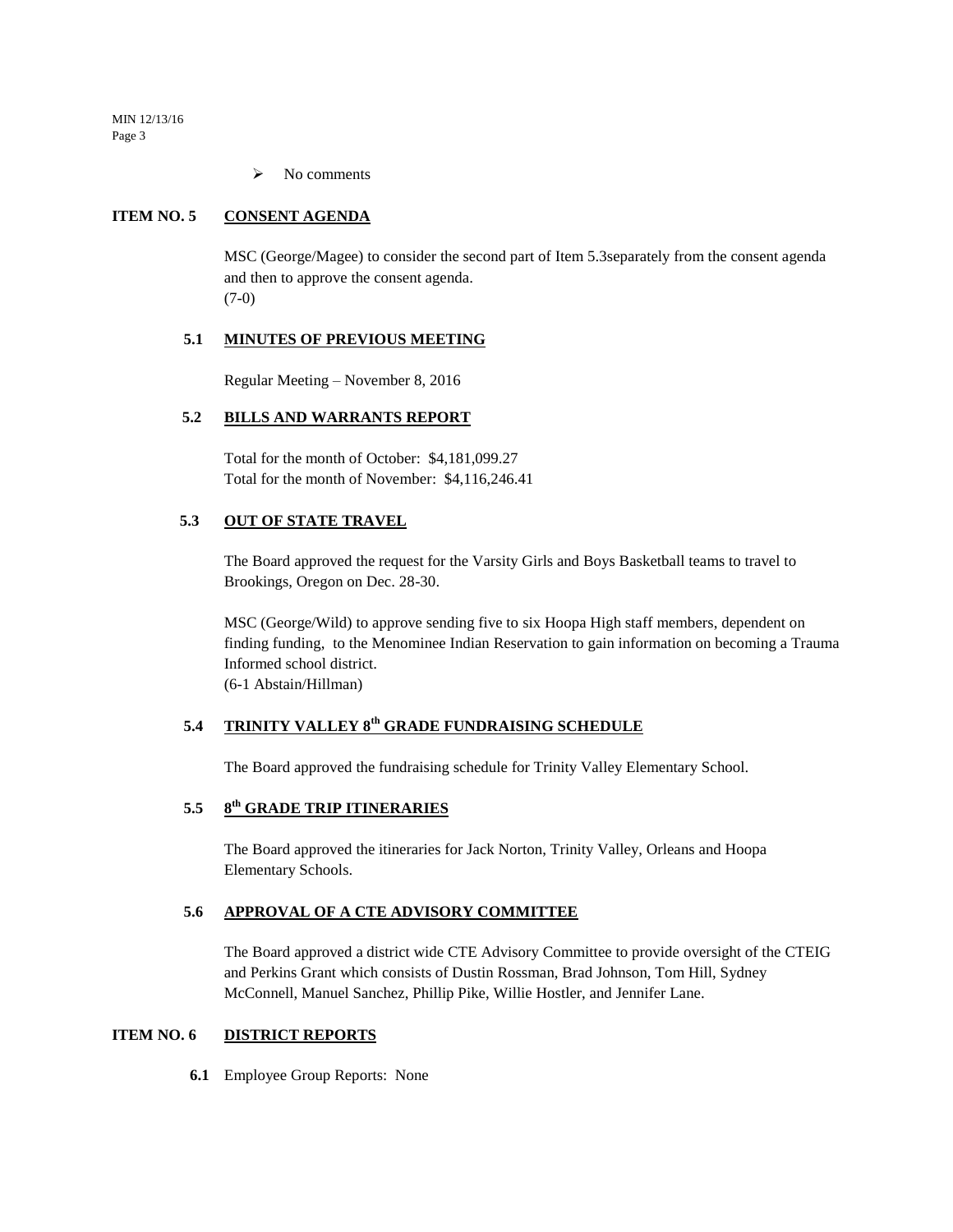$\triangleright$  No comments

# **ITEM NO. 5 CONSENT AGENDA**

MSC (George/Magee) to consider the second part of Item 5.3separately from the consent agenda and then to approve the consent agenda. (7-0)

# **5.1 MINUTES OF PREVIOUS MEETING**

Regular Meeting – November 8, 2016

## **5.2 BILLS AND WARRANTS REPORT**

Total for the month of October: \$4,181,099.27 Total for the month of November: \$4,116,246.41

# **5.3 OUT OF STATE TRAVEL**

The Board approved the request for the Varsity Girls and Boys Basketball teams to travel to Brookings, Oregon on Dec. 28-30.

MSC (George/Wild) to approve sending five to six Hoopa High staff members, dependent on finding funding, to the Menominee Indian Reservation to gain information on becoming a Trauma Informed school district. (6-1 Abstain/Hillman)

# **5.4 TRINITY VALLEY 8th GRADE FUNDRAISING SCHEDULE**

The Board approved the fundraising schedule for Trinity Valley Elementary School.

#### **5.5 8 th GRADE TRIP ITINERARIES**

The Board approved the itineraries for Jack Norton, Trinity Valley, Orleans and Hoopa Elementary Schools.

# **5.6 APPROVAL OF A CTE ADVISORY COMMITTEE**

The Board approved a district wide CTE Advisory Committee to provide oversight of the CTEIG and Perkins Grant which consists of Dustin Rossman, Brad Johnson, Tom Hill, Sydney McConnell, Manuel Sanchez, Phillip Pike, Willie Hostler, and Jennifer Lane.

## **ITEM NO. 6 DISTRICT REPORTS**

**6.1** Employee Group Reports: None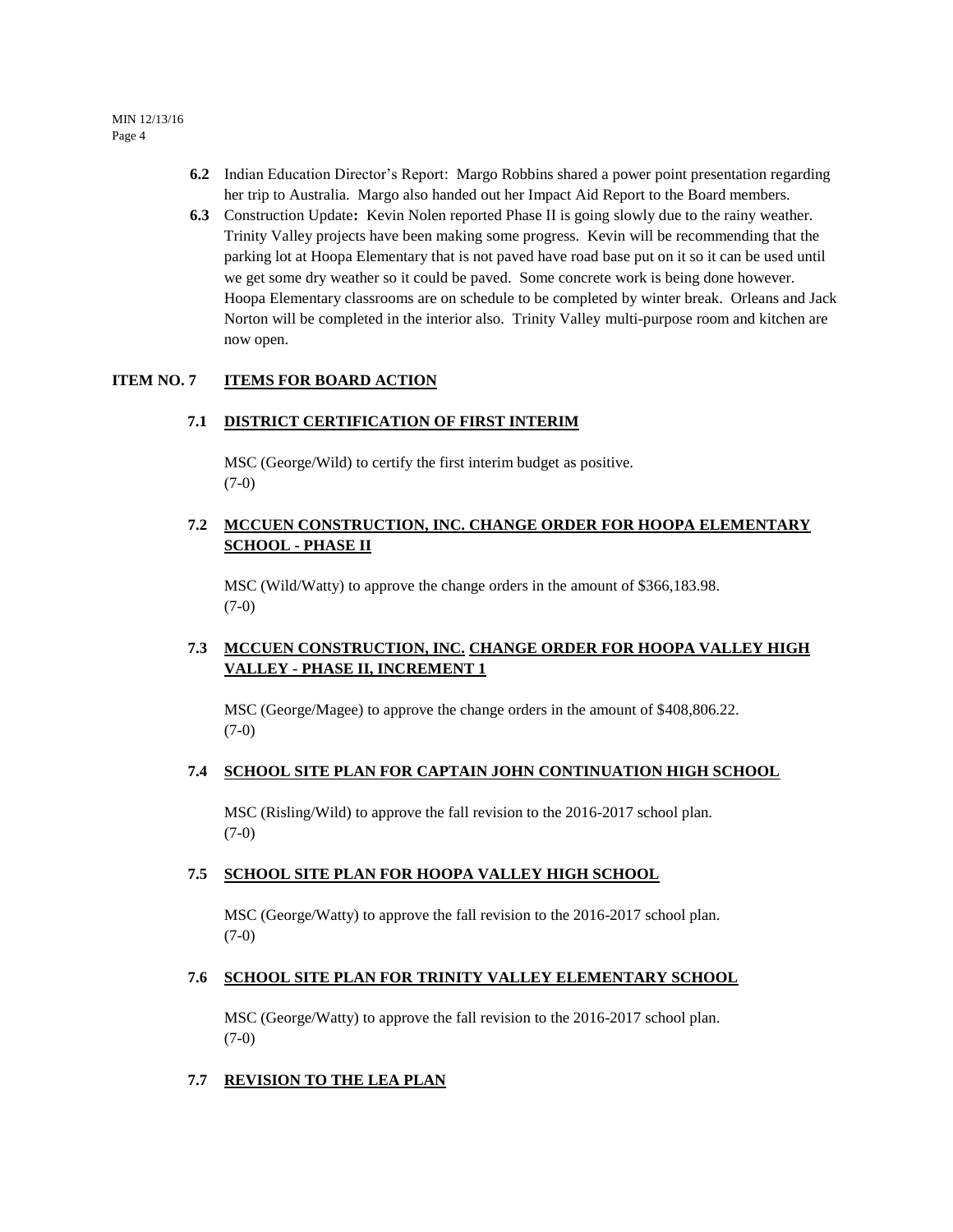- **6.2** Indian Education Director's Report: Margo Robbins shared a power point presentation regarding her trip to Australia. Margo also handed out her Impact Aid Report to the Board members.
- **6.3** Construction Update**:** Kevin Nolen reported Phase II is going slowly due to the rainy weather. Trinity Valley projects have been making some progress. Kevin will be recommending that the parking lot at Hoopa Elementary that is not paved have road base put on it so it can be used until we get some dry weather so it could be paved. Some concrete work is being done however. Hoopa Elementary classrooms are on schedule to be completed by winter break. Orleans and Jack Norton will be completed in the interior also. Trinity Valley multi-purpose room and kitchen are now open.

# **ITEM NO. 7 ITEMS FOR BOARD ACTION**

## **7.1 DISTRICT CERTIFICATION OF FIRST INTERIM**

MSC (George/Wild) to certify the first interim budget as positive. (7-0)

# **7.2 MCCUEN CONSTRUCTION, INC. CHANGE ORDER FOR HOOPA ELEMENTARY SCHOOL - PHASE II**

MSC (Wild/Watty) to approve the change orders in the amount of \$366,183.98. (7-0)

# **7.3 MCCUEN CONSTRUCTION, INC. CHANGE ORDER FOR HOOPA VALLEY HIGH VALLEY - PHASE II, INCREMENT 1**

MSC (George/Magee) to approve the change orders in the amount of \$408,806.22. (7-0)

## **7.4 SCHOOL SITE PLAN FOR CAPTAIN JOHN CONTINUATION HIGH SCHOOL**

MSC (Risling/Wild) to approve the fall revision to the 2016-2017 school plan.  $(7-0)$ 

## **7.5 SCHOOL SITE PLAN FOR HOOPA VALLEY HIGH SCHOOL**

MSC (George/Watty) to approve the fall revision to the 2016-2017 school plan.  $(7-0)$ 

## **7.6 SCHOOL SITE PLAN FOR TRINITY VALLEY ELEMENTARY SCHOOL**

MSC (George/Watty) to approve the fall revision to the 2016-2017 school plan.  $(7-0)$ 

## **7.7 REVISION TO THE LEA PLAN**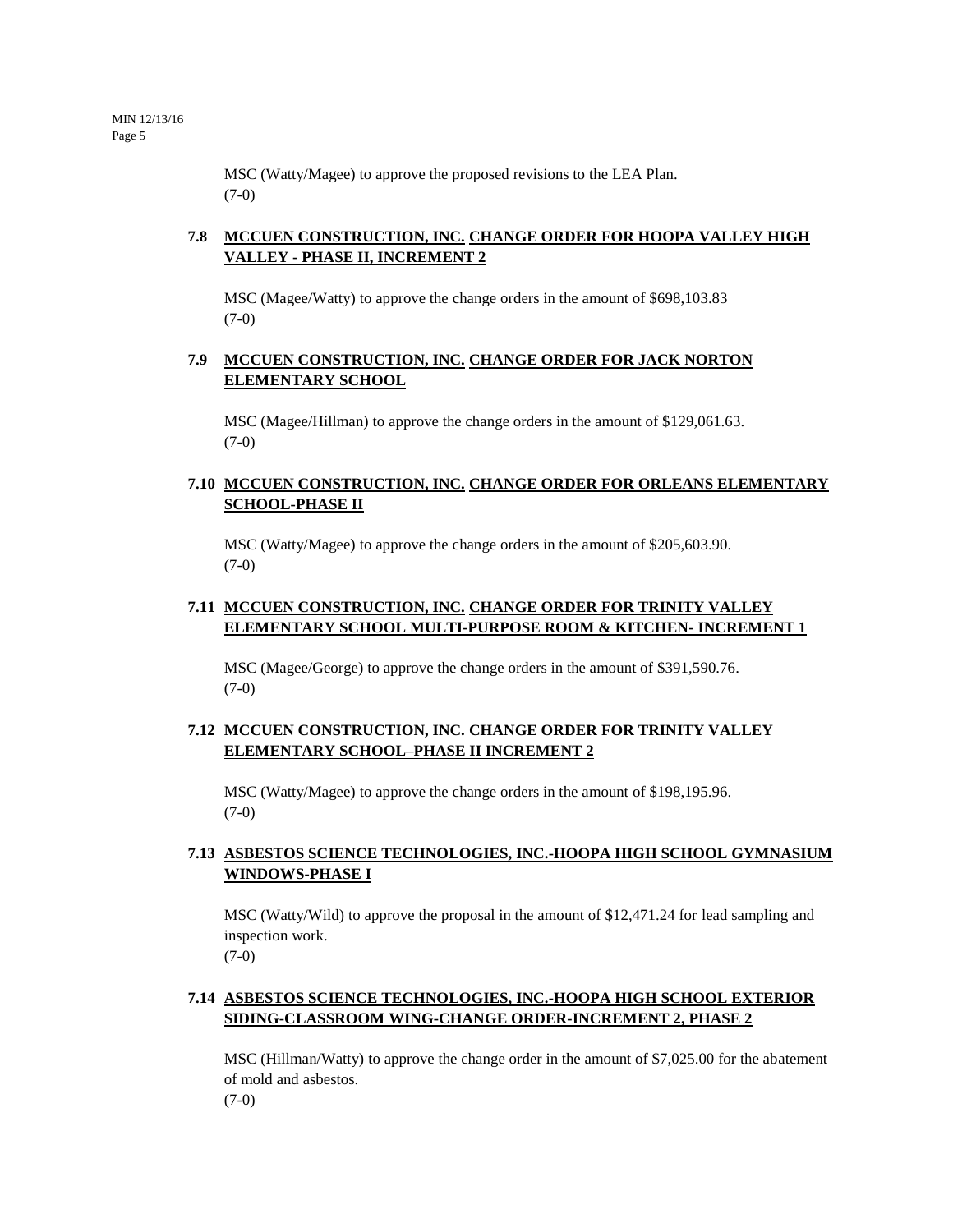MSC (Watty/Magee) to approve the proposed revisions to the LEA Plan. (7-0)

# **7.8 MCCUEN CONSTRUCTION, INC. CHANGE ORDER FOR HOOPA VALLEY HIGH VALLEY - PHASE II, INCREMENT 2**

MSC (Magee/Watty) to approve the change orders in the amount of \$698,103.83 (7-0)

# **7.9 MCCUEN CONSTRUCTION, INC. CHANGE ORDER FOR JACK NORTON ELEMENTARY SCHOOL**

MSC (Magee/Hillman) to approve the change orders in the amount of \$129,061.63.  $(7-0)$ 

# **7.10 MCCUEN CONSTRUCTION, INC. CHANGE ORDER FOR ORLEANS ELEMENTARY SCHOOL-PHASE II**

MSC (Watty/Magee) to approve the change orders in the amount of \$205,603.90. (7-0)

# **7.11 MCCUEN CONSTRUCTION, INC. CHANGE ORDER FOR TRINITY VALLEY ELEMENTARY SCHOOL MULTI-PURPOSE ROOM & KITCHEN- INCREMENT 1**

MSC (Magee/George) to approve the change orders in the amount of \$391,590.76. (7-0)

# **7.12 MCCUEN CONSTRUCTION, INC. CHANGE ORDER FOR TRINITY VALLEY ELEMENTARY SCHOOL–PHASE II INCREMENT 2**

MSC (Watty/Magee) to approve the change orders in the amount of \$198,195.96. (7-0)

# **7.13 ASBESTOS SCIENCE TECHNOLOGIES, INC.-HOOPA HIGH SCHOOL GYMNASIUM WINDOWS-PHASE I**

MSC (Watty/Wild) to approve the proposal in the amount of \$12,471.24 for lead sampling and inspection work. (7-0)

# **7.14 ASBESTOS SCIENCE TECHNOLOGIES, INC.-HOOPA HIGH SCHOOL EXTERIOR SIDING-CLASSROOM WING-CHANGE ORDER-INCREMENT 2, PHASE 2**

MSC (Hillman/Watty) to approve the change order in the amount of \$7,025.00 for the abatement of mold and asbestos.

 $(7-0)$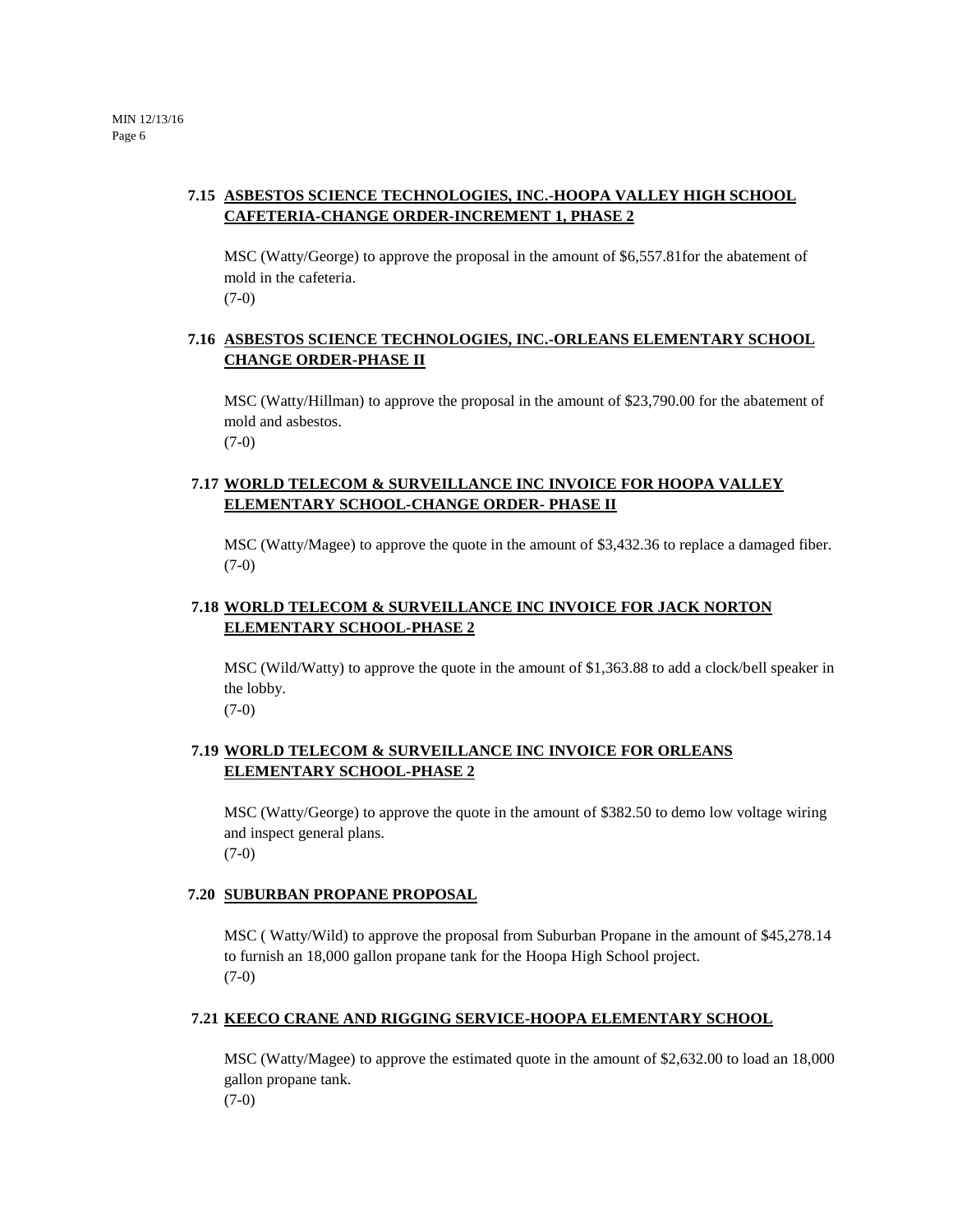# **7.15 ASBESTOS SCIENCE TECHNOLOGIES, INC.-HOOPA VALLEY HIGH SCHOOL CAFETERIA-CHANGE ORDER-INCREMENT 1, PHASE 2**

MSC (Watty/George) to approve the proposal in the amount of \$6,557.81for the abatement of mold in the cafeteria. (7-0)

# **7.16 ASBESTOS SCIENCE TECHNOLOGIES, INC.-ORLEANS ELEMENTARY SCHOOL CHANGE ORDER-PHASE II**

MSC (Watty/Hillman) to approve the proposal in the amount of \$23,790.00 for the abatement of mold and asbestos.  $(7-0)$ 

# **7.17 WORLD TELECOM & SURVEILLANCE INC INVOICE FOR HOOPA VALLEY ELEMENTARY SCHOOL-CHANGE ORDER- PHASE II**

MSC (Watty/Magee) to approve the quote in the amount of \$3,432.36 to replace a damaged fiber. (7-0)

# **7.18 WORLD TELECOM & SURVEILLANCE INC INVOICE FOR JACK NORTON ELEMENTARY SCHOOL-PHASE 2**

MSC (Wild/Watty) to approve the quote in the amount of \$1,363.88 to add a clock/bell speaker in the lobby. (7-0)

# **7.19 WORLD TELECOM & SURVEILLANCE INC INVOICE FOR ORLEANS ELEMENTARY SCHOOL-PHASE 2**

MSC (Watty/George) to approve the quote in the amount of \$382.50 to demo low voltage wiring and inspect general plans. (7-0)

# **7.20 SUBURBAN PROPANE PROPOSAL**

MSC ( Watty/Wild) to approve the proposal from Suburban Propane in the amount of \$45,278.14 to furnish an 18,000 gallon propane tank for the Hoopa High School project. (7-0)

# **7.21 KEECO CRANE AND RIGGING SERVICE-HOOPA ELEMENTARY SCHOOL**

MSC (Watty/Magee) to approve the estimated quote in the amount of \$2,632.00 to load an 18,000 gallon propane tank.

(7-0)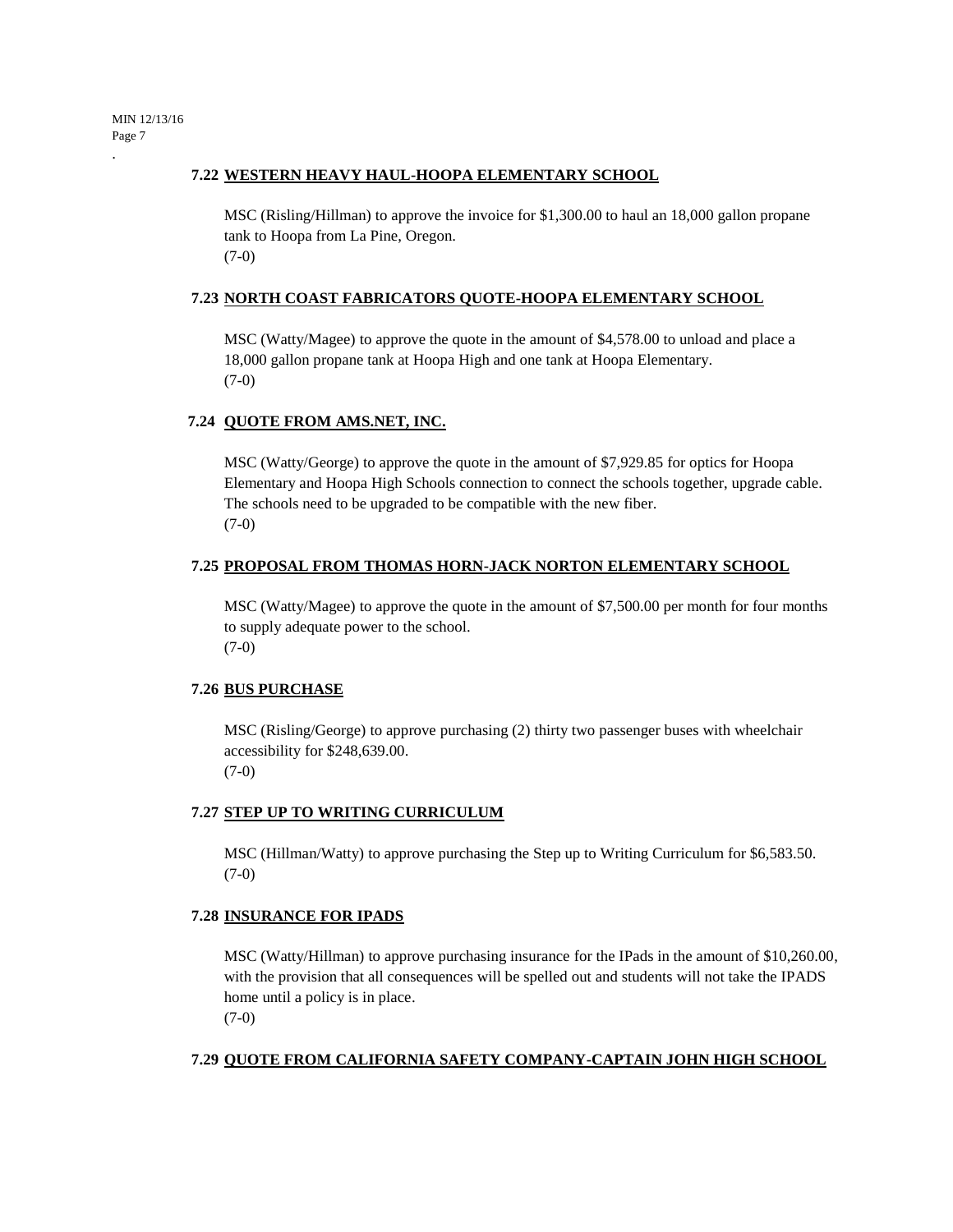.

## **7.22 WESTERN HEAVY HAUL-HOOPA ELEMENTARY SCHOOL**

MSC (Risling/Hillman) to approve the invoice for \$1,300.00 to haul an 18,000 gallon propane tank to Hoopa from La Pine, Oregon. (7-0)

## **7.23 NORTH COAST FABRICATORS QUOTE-HOOPA ELEMENTARY SCHOOL**

MSC (Watty/Magee) to approve the quote in the amount of \$4,578.00 to unload and place a 18,000 gallon propane tank at Hoopa High and one tank at Hoopa Elementary. (7-0)

## **7.24 QUOTE FROM AMS.NET, INC.**

MSC (Watty/George) to approve the quote in the amount of \$7,929.85 for optics for Hoopa Elementary and Hoopa High Schools connection to connect the schools together, upgrade cable. The schools need to be upgraded to be compatible with the new fiber. (7-0)

## **7.25 PROPOSAL FROM THOMAS HORN-JACK NORTON ELEMENTARY SCHOOL**

MSC (Watty/Magee) to approve the quote in the amount of \$7,500.00 per month for four months to supply adequate power to the school. (7-0)

# **7.26 BUS PURCHASE**

MSC (Risling/George) to approve purchasing (2) thirty two passenger buses with wheelchair accessibility for \$248,639.00. (7-0)

## **7.27 STEP UP TO WRITING CURRICULUM**

MSC (Hillman/Watty) to approve purchasing the Step up to Writing Curriculum for \$6,583.50. (7-0)

## **7.28 INSURANCE FOR IPADS**

MSC (Watty/Hillman) to approve purchasing insurance for the IPads in the amount of \$10,260.00, with the provision that all consequences will be spelled out and students will not take the IPADS home until a policy is in place. (7-0)

# **7.29 QUOTE FROM CALIFORNIA SAFETY COMPANY-CAPTAIN JOHN HIGH SCHOOL**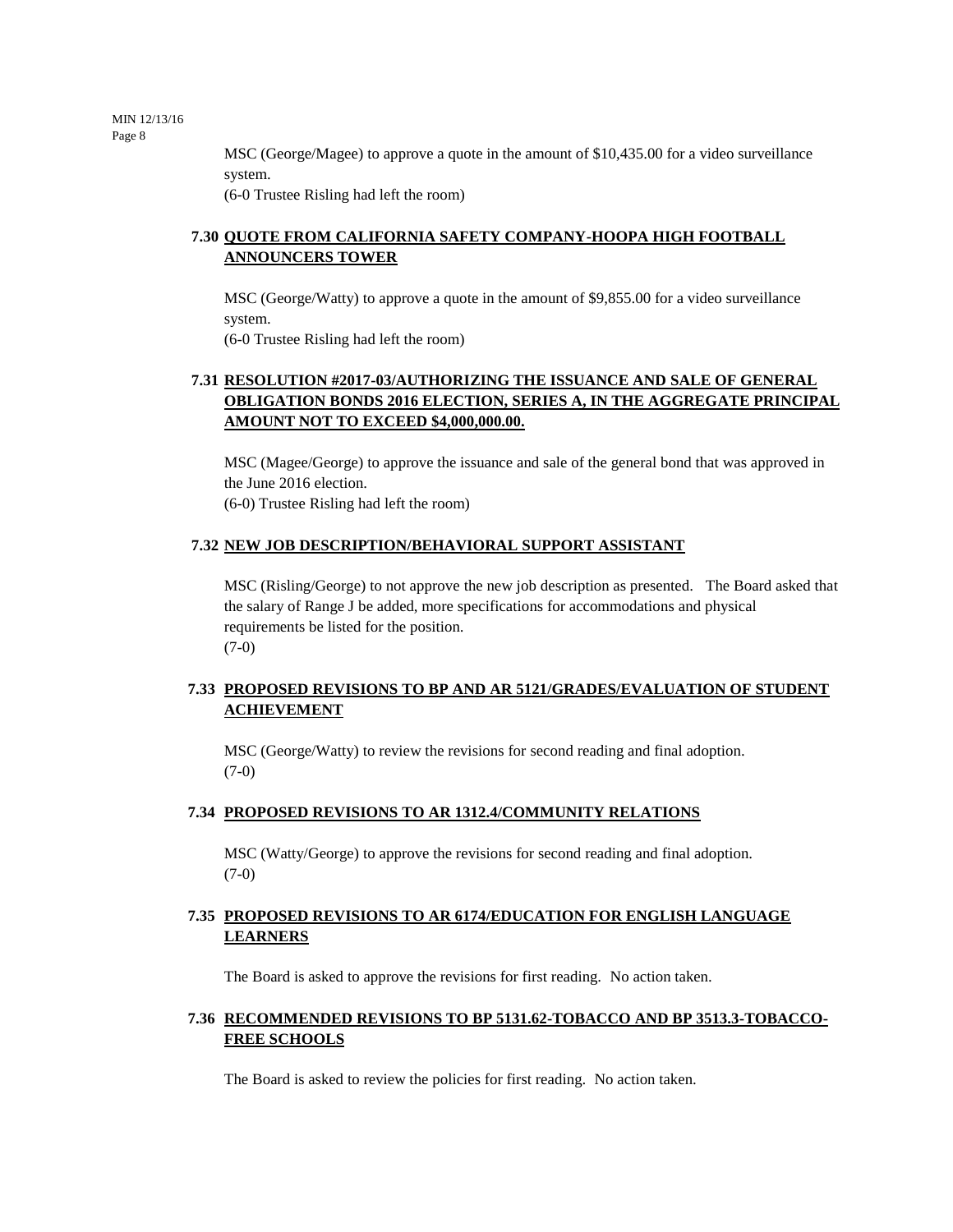> MSC (George/Magee) to approve a quote in the amount of \$10,435.00 for a video surveillance system.

(6-0 Trustee Risling had left the room)

# **7.30 QUOTE FROM CALIFORNIA SAFETY COMPANY-HOOPA HIGH FOOTBALL ANNOUNCERS TOWER**

MSC (George/Watty) to approve a quote in the amount of \$9,855.00 for a video surveillance system.

(6-0 Trustee Risling had left the room)

# **7.31 RESOLUTION #2017-03/AUTHORIZING THE ISSUANCE AND SALE OF GENERAL OBLIGATION BONDS 2016 ELECTION, SERIES A, IN THE AGGREGATE PRINCIPAL AMOUNT NOT TO EXCEED \$4,000,000.00.**

MSC (Magee/George) to approve the issuance and sale of the general bond that was approved in the June 2016 election. (6-0) Trustee Risling had left the room)

# **7.32 NEW JOB DESCRIPTION/BEHAVIORAL SUPPORT ASSISTANT**

MSC (Risling/George) to not approve the new job description as presented. The Board asked that the salary of Range J be added, more specifications for accommodations and physical requirements be listed for the position. (7-0)

# **7.33 PROPOSED REVISIONS TO BP AND AR 5121/GRADES/EVALUATION OF STUDENT ACHIEVEMENT**

MSC (George/Watty) to review the revisions for second reading and final adoption. (7-0)

# **7.34 PROPOSED REVISIONS TO AR 1312.4/COMMUNITY RELATIONS**

MSC (Watty/George) to approve the revisions for second reading and final adoption. (7-0)

# **7.35 PROPOSED REVISIONS TO AR 6174/EDUCATION FOR ENGLISH LANGUAGE LEARNERS**

The Board is asked to approve the revisions for first reading. No action taken.

# **7.36 RECOMMENDED REVISIONS TO BP 5131.62-TOBACCO AND BP 3513.3-TOBACCO-FREE SCHOOLS**

The Board is asked to review the policies for first reading. No action taken.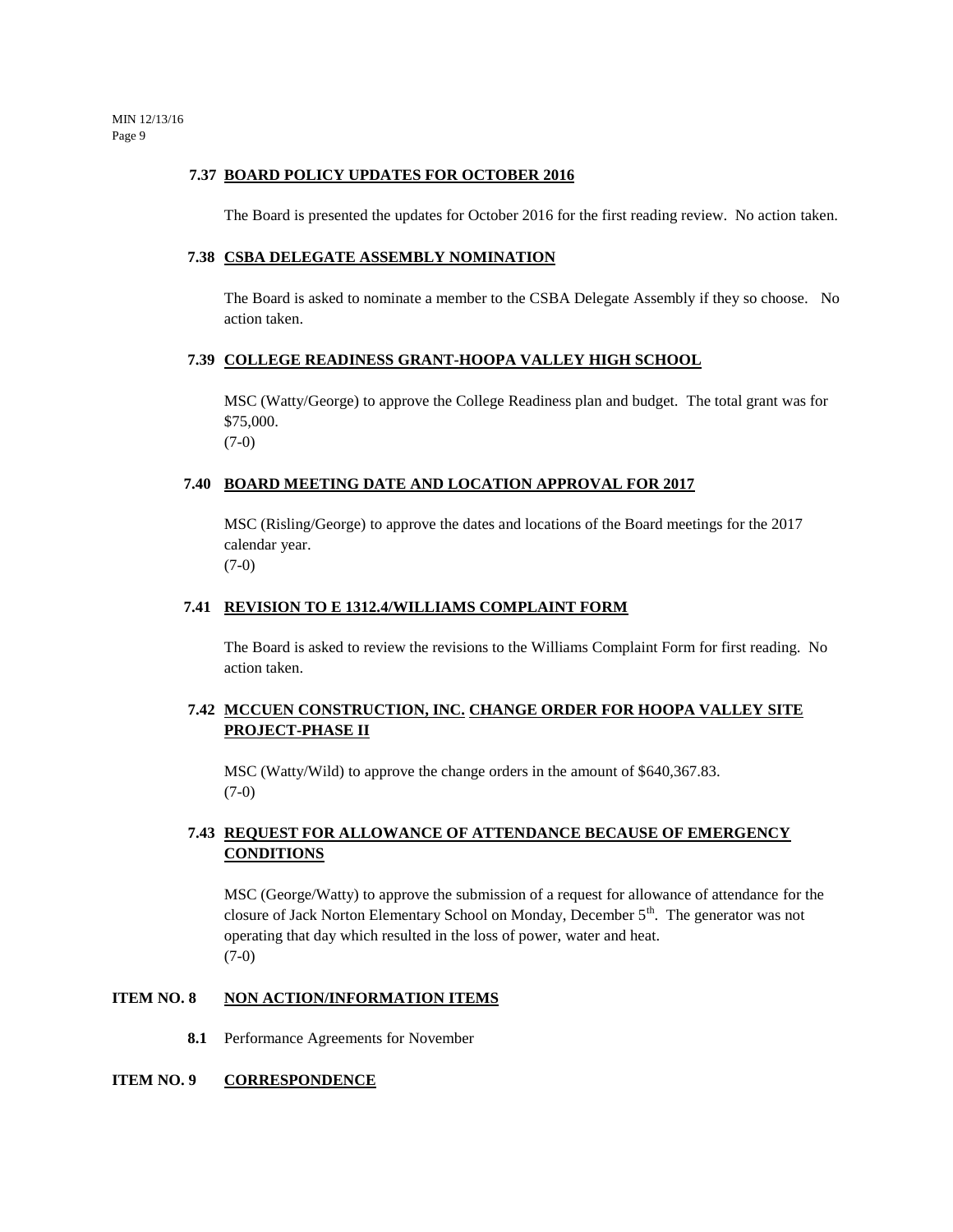## **7.37 BOARD POLICY UPDATES FOR OCTOBER 2016**

The Board is presented the updates for October 2016 for the first reading review. No action taken.

# **7.38 CSBA DELEGATE ASSEMBLY NOMINATION**

The Board is asked to nominate a member to the CSBA Delegate Assembly if they so choose. No action taken.

# **7.39 COLLEGE READINESS GRANT-HOOPA VALLEY HIGH SCHOOL**

MSC (Watty/George) to approve the College Readiness plan and budget. The total grant was for \$75,000. (7-0)

## **7.40 BOARD MEETING DATE AND LOCATION APPROVAL FOR 2017**

MSC (Risling/George) to approve the dates and locations of the Board meetings for the 2017 calendar year. (7-0)

## **7.41 REVISION TO E 1312.4/WILLIAMS COMPLAINT FORM**

The Board is asked to review the revisions to the Williams Complaint Form for first reading. No action taken.

# **7.42 MCCUEN CONSTRUCTION, INC. CHANGE ORDER FOR HOOPA VALLEY SITE PROJECT-PHASE II**

MSC (Watty/Wild) to approve the change orders in the amount of \$640,367.83. (7-0)

# **7.43 REQUEST FOR ALLOWANCE OF ATTENDANCE BECAUSE OF EMERGENCY CONDITIONS**

MSC (George/Watty) to approve the submission of a request for allowance of attendance for the closure of Jack Norton Elementary School on Monday, December 5<sup>th</sup>. The generator was not operating that day which resulted in the loss of power, water and heat. (7-0)

## **ITEM NO. 8 NON ACTION/INFORMATION ITEMS**

**8.1** Performance Agreements for November

## **ITEM NO. 9 CORRESPONDENCE**